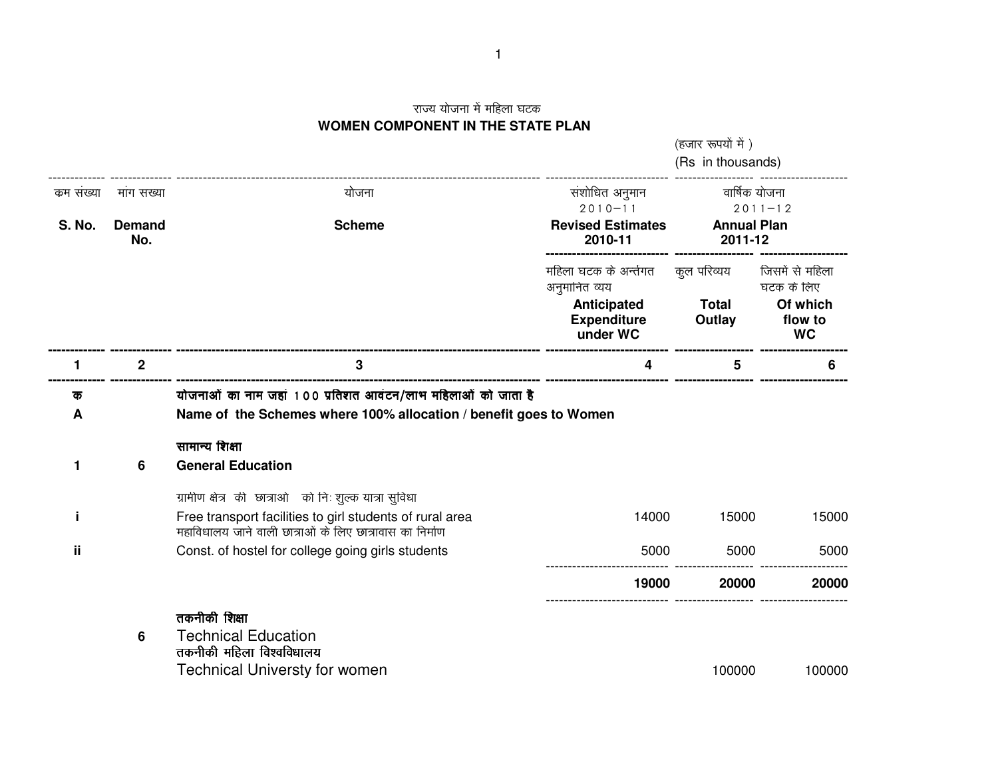**WOMEN COMPONENT IN THE STATE PLAN** *(हजार रूपयों में)* (Rs in thousands)------------- -------------- ----------------------------------------------------------------------------------- ---------------------------- ------------------ ------------------- *dze la[;k ekax l[;k ;kstuk la'kksf/kr vuqeku okf"kZd ;kstuk 2010&11 2011&12***Annual Plan S. No.Demand** Scheme **Revised Estimates Annual Plannual Plannual Plannual Plannual Plannual Plannual Plannual Plannual Plannual Plannual Plannual Plannual Plannual Plannual Plannual Plannual Plannual Plannual Plannual Plannual Plannual Plannua No. 2010-11 2011-12---------------------------- ------------------ --------------------** महिला घटक के अर्न्तगत *कुल परि*व्यय जिसमें से महिला अनुमानित व्यय *घटक के लिए*<br>Of whic **AnticipatedOf which**<br>flow to **Expenditure Outlay flow toWC under WCC** WC **------------- -------------- ----------------------------------------------------------------------------------- ---------------------------- ------------------ -------------------- 1 <sup>2</sup> 3 4 5 6 ------------- -------------- ----------------------------------------------------------------------------------- ---------------------------- ------------------ -------------------** *d ;kstukvksa dk uke tgka 100 izfr'kr vkoaVu@ykHk efgykvksa dks tkrk gS*  **A Name of the Schemes where 100% allocation / benefit goes to Women** *<i><u>RHIFU</u>* शिक्षा **1 <sup>6</sup> General Education***xzkeh.k {ks= dh Nk«kkvksa dks fu% 'kqYd ;k=k lqfo/kk* **i**i Free transport facilities to girl students of rural area 14000 15000 15000 15000 *egkfo/kky; tkus okyh Nk«kkvksa ds fy, Nk«kkokl dk fuekZ.k***ii**Const. of hostel for college going girls students 5000 5000 5000 5000 5000 5000 ---------------------------- ------------------ -------------------- **19000 <sup>20000</sup> <sup>20000</sup>** ---------------------------- ------------------ -------------------- तकनीकी शिक्षा **6** Technical Educationतकनीकी महिला विश्वविधालय Technical Universty for womenn 100000 100000 100000 100000 100000 100000 100000 100000 100000 100000 100000 100000 100000 100000 100000 100

**राज्य योजना में महिला घटक**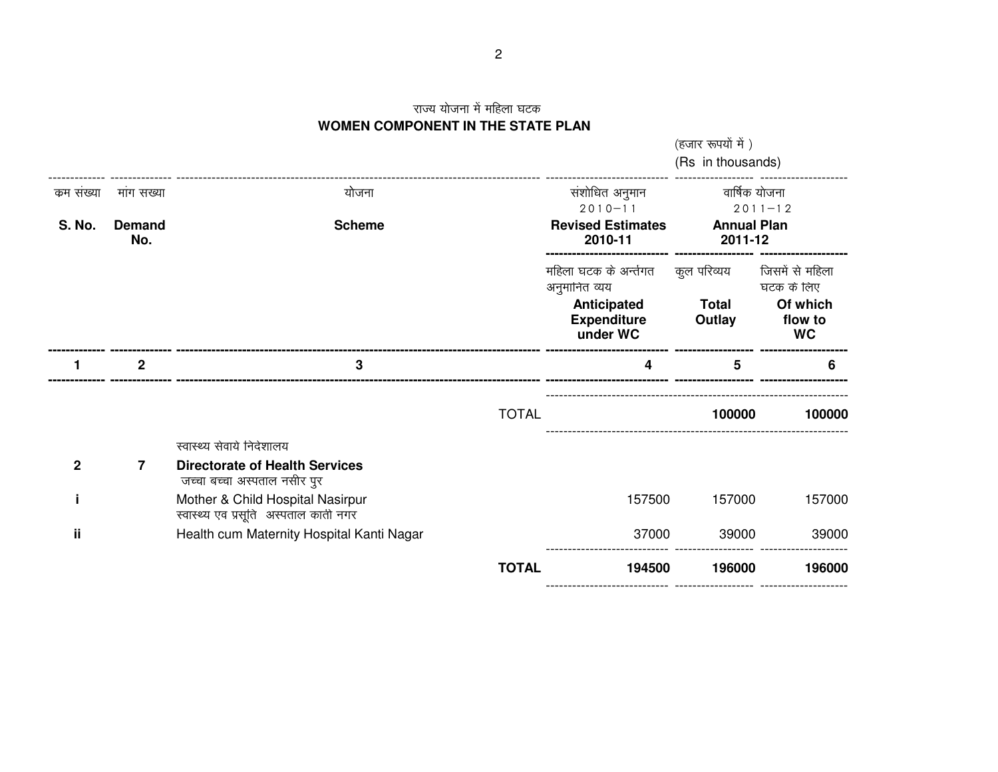*(हजार रूपयों में)* (Rs in thousands)------------- -------------- ----------------------------------------------------------------------------------- ---------------------------- ------------------ ------------------- *dze la[;k ekax l[;k ;kstuk la'kksf/kr vuqeku okf"kZd ;kstuk 2010&11 2011&12***Annual Plan S. No.Demand** Scheme **Revised Estimates Annual Plannual Plannual Plannual Plannual Plannual Plannual Plannual Plannual Plannual Plannual Plannual Plannual Plannual Plannual Plannual Plannual Plannual Plannual Plannual Plannual Plannual Plannua No. 2010-11 2011-12---------------------------- ------------------ --------------------** *महिला घटक के अ*र्न्तगत *कुल परिव्यय* जिसमें से महिला अनुमानित व्यय *्धटक के लिए*<br>Of whic **AnticipatedOf which**<br>flow to **ExpenditureOutlay WC under WCC** WC **------------- -------------- ----------------------------------------------------------------------------------- ---------------------------- ------------------ -------------------- 1 <sup>2</sup> 3 4 5 6 ------------- -------------- ----------------------------------------------------------------------------------- ---------------------------- ------------------ --------------------** ---------------------------------------------------------------------TOTAL **<sup>100000</sup> <sup>100000</sup>** --------------------------------------------------------------------- *LokLF; lsok;sa funs'kky;* **<sup>7</sup> Directorate of Health Services 2***ज*च्चा बच्चा अस्पताल नसीर पुर i Mother & Child Hospital Nasirpur **i**r 157000 157000 157000 157000 157000 157000 157000 157000 157000 157000 157000 157000 157000 157000 157000 157 *Raiked* va प्रसूति अस्पताल काती नगर **ii** Health cum Maternity Hospital Kanti Nagar 37000 39000 39000--------- *tksM+* ---------------------------- ------------------ -------------------- **TOTAL<sup>194500</sup> <sup>196000</sup> <sup>196000</sup>**

----------------------------

------------------ --------------------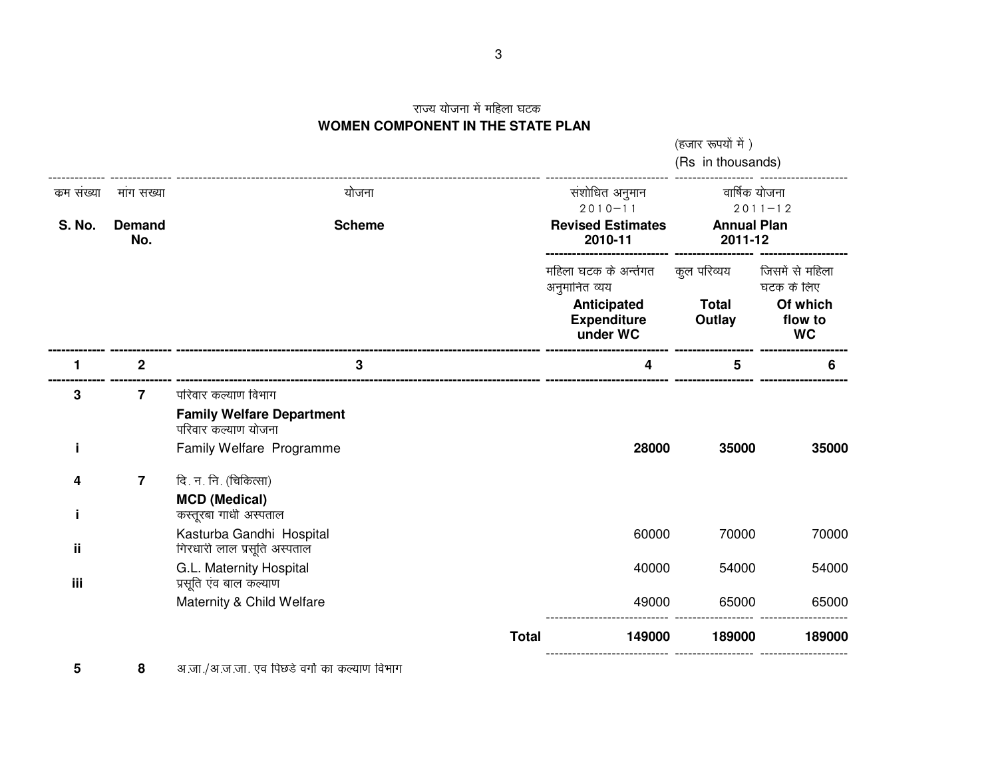*(हजार रूपयों में)* (Rs in thousands)\_\_\_\_\_\_\_\_\_\_\_\_\_\_\_\_\_\_\_\_\_ ------------- -------------- ----------------------------------------------------------------------------------- ---------------------------- ------------------ ------------------- *dze la[;k ekax l[;k ;kstuk la'kksf/kr vuqeku okf"kZd ;kstuk 2010&11 2011&12***Annual Plan S. No.Demand** Scheme **Revised Estimates Annual Plannual Plannual Plannual Plannual Plannual Plannual Plannual Plannual Plannual Plannual Plannual Plannual Plannual Plannual Plannual Plannual Plannual Plannual Plannual Plannual Plannual Plannua No. 2010-11 2011-12---------------------------- ------------------ --------------------** *महिला घटक के अर्न्तगत कुल परि*व्यय जिसमें से महिला अनुमानित व्यय *घटक के लिए*<br>Of whic **AnticipatedOf which**<br>flow to **ExpenditureOutlay WC under WCC** WC **------------- -------------- ----------------------------------------------------------------------------------- ---------------------------- ------------------ -------------------- 1 <sup>2</sup> 3 4 5 6 ------------- -------------- ----------------------------------------------------------------------------------- ---------------------------- ------------------ -------------------- 37** *ifferal dY dYdIv dYIII* **Family Welfare Department***ifjokj dY;k.k ;kstuk***i**i Family Welfare Programme **<sup>28000</sup> <sup>35000</sup> <sup>35000</sup> 47** *दि. न. नि. (चिकित्सा)* **MCD (Medical)** *dLrwjCkk xka/kh vLirky***i** Kasturba Gandhi Hospitalا (60000 70000 70000 70000 70000 *7*0000 *7* **ii***गिरधारी लाल प्रसूति अस्पताल*  G.L. Maternity Hospital 40000 54000 54000**iii***y*सूति एव बाल कल्याण Maternity & Child Welfare <sup>49000</sup> <sup>65000</sup> <sup>65000</sup>  *tksM+* ---------------------------- ------------------ -------------------- **Total 149000 <sup>189000</sup> <sup>189000</sup>** ---------------------------------------------- --------------------

*राज्य योजना में महिला घटक*  **WOMEN COMPONENT IN THE STATE PLAN** 

**5**8 31.5 *3 अ*.जा./अ.ज.जा. एवं पिछड़े वर्गों का कल्याण विभाग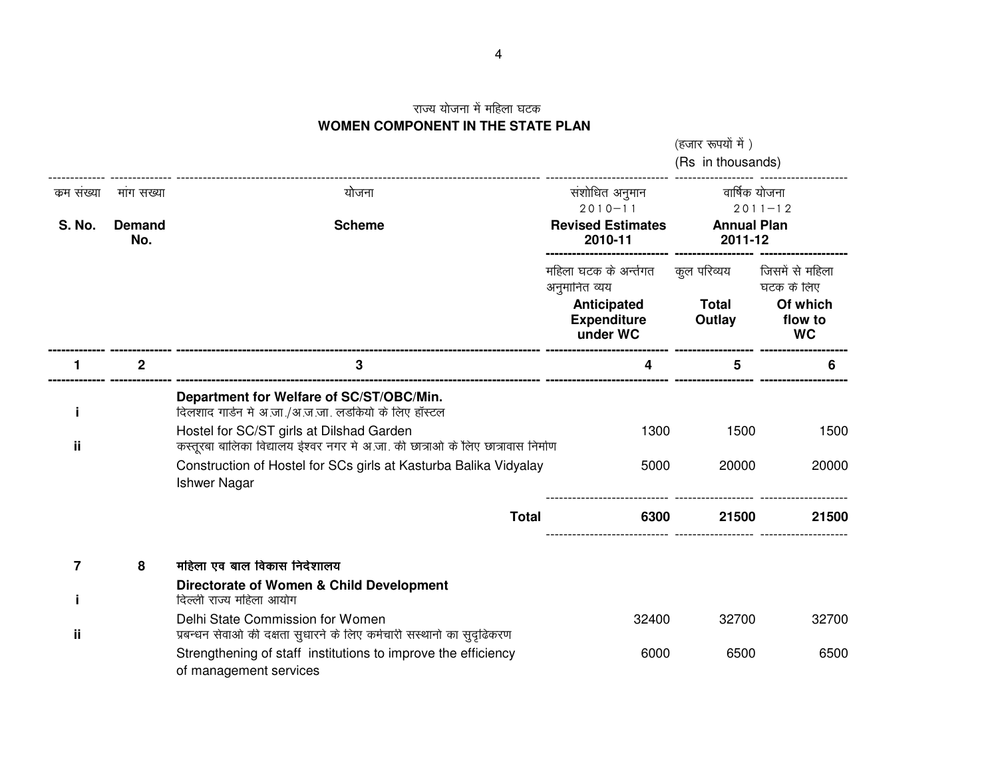*(हजार रूपयों में)* (Rs in thousands)\_\_\_\_\_\_\_\_\_\_\_\_\_\_\_\_\_\_\_\_\_ ------------- -------------- ----------------------------------------------------------------------------------- ---------------------------- ------------------ ------------------- *dze la[;k ekax l[;k ;kstuk la'kksf/kr vuqeku okf"kZd ;kstuk 2010&11 2011&12***Annual Plan S. No.Demand** Scheme **Revised Estimates Annual Plannual Plannual Plannual Plannual Plannual Plannual Plannual Plannual Plannual Plannual Plannual Plannual Plannual Plannual Plannual Plannual Plannual Plannual Plannual Plannual Plannual Plannua No. 2010-11 2011-12---------------------------- ------------------ --------------------** महिला घटक के अर्न्तगत *कूल परिव्यय* जिसमें से महिला अनुमानित व्यय *घटक के लिए*<br>Of whic **AnticipatedOf which**<br>flow to **ExpenditureOutlay WC under WCC** WC **------------- -------------- ----------------------------------------------------------------------------------- ---------------------------- ------------------ -------------------- 1 <sup>2</sup> 3 4 5 6 ------------- -------------- ----------------------------------------------------------------------------------- ---------------------------- ------------------ -------------------- Department for Welfare of SC/ST/OBC/Min.i** kanda *faku ta faka vida visin /अ.ज.जा. लडकियों के लिए हॉस्टल* **i**Hostel for SC/ST girls at Dilshad Gardenn 1300 1500 1500 **ii***क*स्तूरबा बालिका विद्यालय ईश्वर नगर में अ.जा. की छात्राओं के लिए छात्रावास निर्माण Construction of Hostel for SCs girls at Kasturba Balika Vidyalay <sup>5000</sup> <sup>20000</sup> <sup>20000</sup> Ishwer Nagar *tksM+* ---------------------------- ------------------ -------------------- **Total 6300 <sup>21500</sup> <sup>21500</sup>** ---------------------------- ------------------ --------------------**7**8 **महिला एवं बाल विकास निदेशालय Directorate of Women & Child Development i***i face i fagyk fagyk fagy af fagy af fagy and fagy and fagy and fagy and fagy and fagy and fagy and fagy and fagy and fagy and fagy and fagy and fagy and fagy and fagy and fagy and fagy and fagy and fagy and fagy* Delhi State Commission for Womenn 32400 32700 32700 **ii** *izcU/ku lsokvks dh n{krk lq/kkjus ds fy, deZpkjh laLFkkuks dk lqn`f<dj.k* Strengthening of staff institutions to improve the efficiency 6000 6500 6500 6500 of management services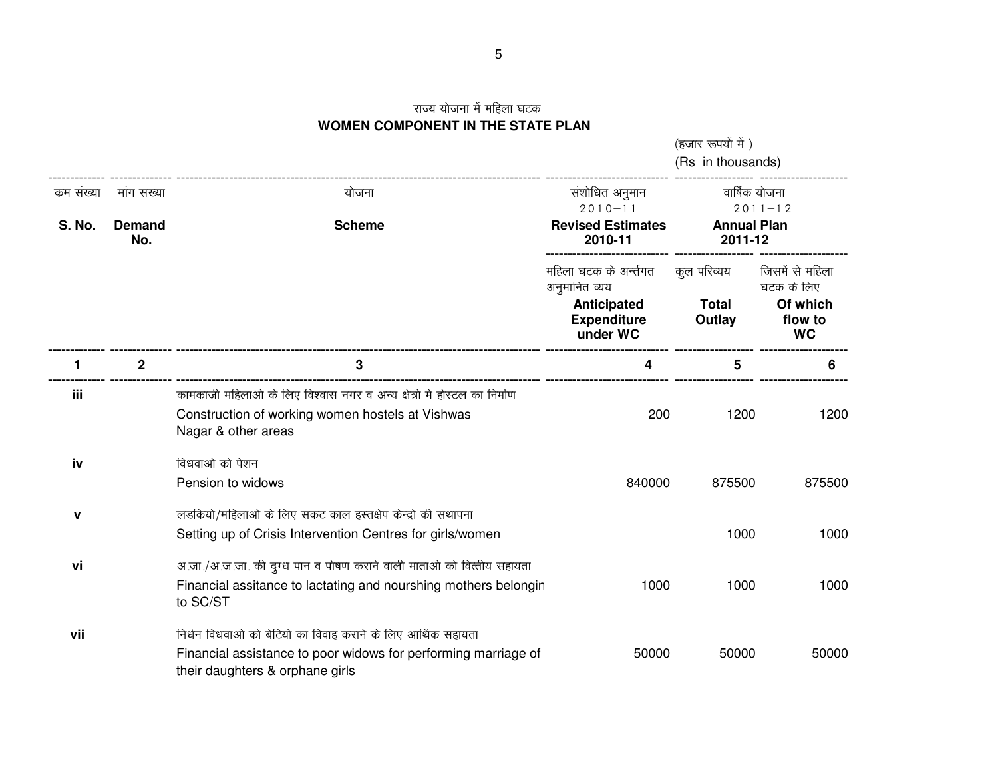*(हजार रूपयों में)* (Rs in thousands)------------------------------- -------------- ----------------------------------------------------------------------------------- ---------------------------- ------------------ ------------------- *dze la[;k ekax l[;k ;kstuk la'kksf/kr vuqeku okf"kZd ;kstuk 2010&11 2011&12***Annual Plan S. No.Demand** Scheme **Revised Estimates** Annual Pl<br>2010-11 2011-12 **No. 2010-11 2011-12---------------------------- ------------------ --------------------** महिला घटक के अर्न्तगत *कुल परि*व्यय जिसमें से महिला अनुमानित व्यय *घटक के लिए*<br>Of whic **AnticipatedOf which**<br>flow to **ExpenditureOutlay WC under WCC** WC **------------- -------------- ----------------------------------------------------------------------------------- ---------------------------- ------------------ -------------------- 1 <sup>2</sup> 3 4 5 6 ------------- -------------- ----------------------------------------------------------------------------------- ---------------------------- ------------------ --------------------** *dkedkth efgykvks ds fy, fo'okl uxj o vU; {ks«kks es gksLVy dk fuekZ.k* **iii**Construction of working women hostels at Vishwas 200 1200 1200 1200 Nagar & other areas**iv***विधवाओं को पेशन* Pension to widows <sup>840000</sup> <sup>875500</sup> <sup>875500</sup>**v***लड़कियों/महिलाओं के लिए सकट काल हस्तक्षेप केन्द्रो की सथापना* Setting up of Crisis Intervention Centres for girls/womenn 1000 1000 **vi**अ.जा./अ.ज.जा. की दुग्ध पान व पोषण कराने वाली माताओं को वित्तीय सहायता Financial assitance to lactating and nourshing mothers belonging <sup>1000</sup> <sup>1000</sup> <sup>1000</sup> to SC/ST**vii** *fu/kZu fo/kokvksa dks csfV;ksa dk fookg djkus ds fy, vkfFkZd lgk;rk* Financial assistance to poor widows for performing marriage of 50000 50000 50000 50000 their daughters & orphane girls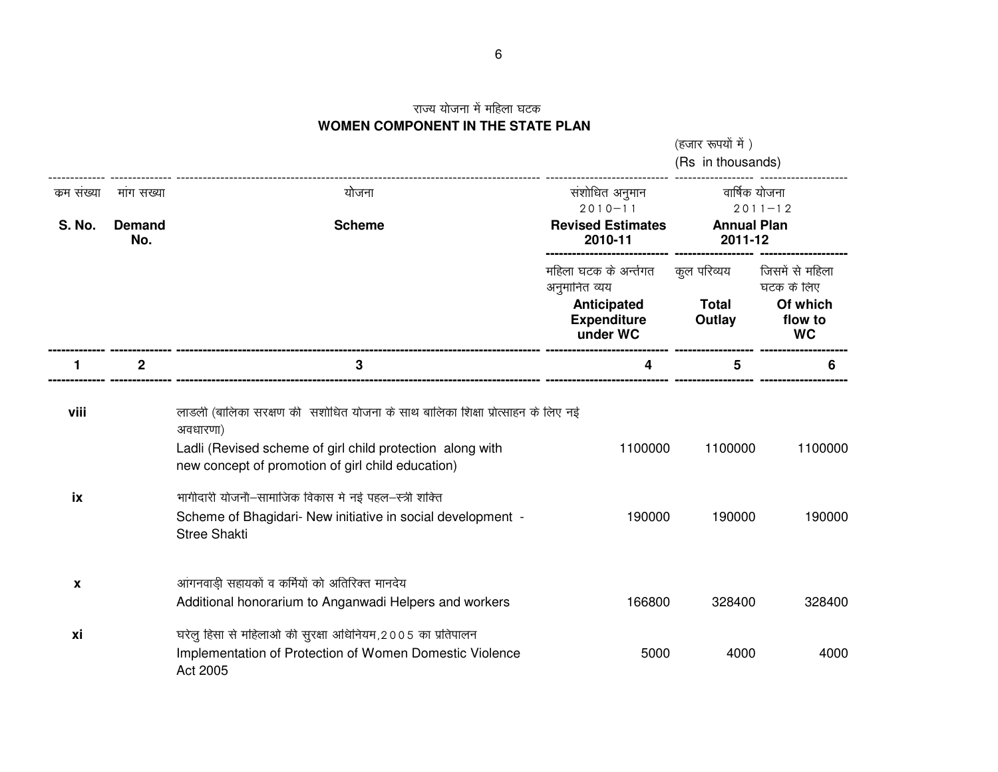*(हजार रूपयों में)* (Rs in thousands)------------- -------------- ----------------------------------------------------------------------------------- ---------------------------- ------------------ ------------------- *dze la[;k ekax l[;k ;kstuk la'kksf/kr vuqeku okf"kZd ;kstuk 2010&11 2011&12***Annual Plan S. No.Demand** Scheme **Revised Estimates Annual Plannual Plannual Plannual Plannual Plannual Plannual Plannual Plannual Plannual Plannual Plannual Plannual Plannual Plannual Plannual Plannual Plannual Plannual Plannual Plannual Plannual Plannua No. 2010-11 2011-12---------------------------- ------------------ --------------------** *महिला घटक के अर्न्तगत कूल परिव्यय* जिसमें से महिला अनुमानित व्यय *घटक के लिए*<br>Of whic **AnticipatedOf which**<br>flow to **ExpenditureOutlay WC under WCC** WC **------------- -------------- ----------------------------------------------------------------------------------- ---------------------------- ------------------ -------------------- 1 <sup>2</sup> 3 4 5 6 ------------- -------------- ----------------------------------------------------------------------------------- ---------------------------- ------------------ ------------------- viii***लाडली (बालिका सरक्षण की संशोधित योजना के साथ बालिका शिक्षा प्रोत्साहन के लिए नई vo/kkj.kk)*Ladli (Revised scheme of girl child protection along with 1100000 1100000 1100000 1100000 new concept of promotion of girl child education)**ix** *Hkkxhnkjh ;kstukS&lkekftd fodkl esa ubZ igy&L=h 'kfDr* Scheme of Bhagidari- New initiative in social development - 190000 190000 190000 190000 Stree Shakti**x** *vkaxuokM+h lgk;dksa o dfeZ;ksa dks vfrfjDr ekuns;*  Additional honorarium to Anganwadi Helpers and workers 166800 328400 328400 328400 **xi** *?kjsyq fgalk ls efgykvksa dh lqj{kk vf/kfu;e]2005 dk izfrikyu*Implementation of Protection of Women Domestic Violence **600 600 4000** 4000 4000 Act 2005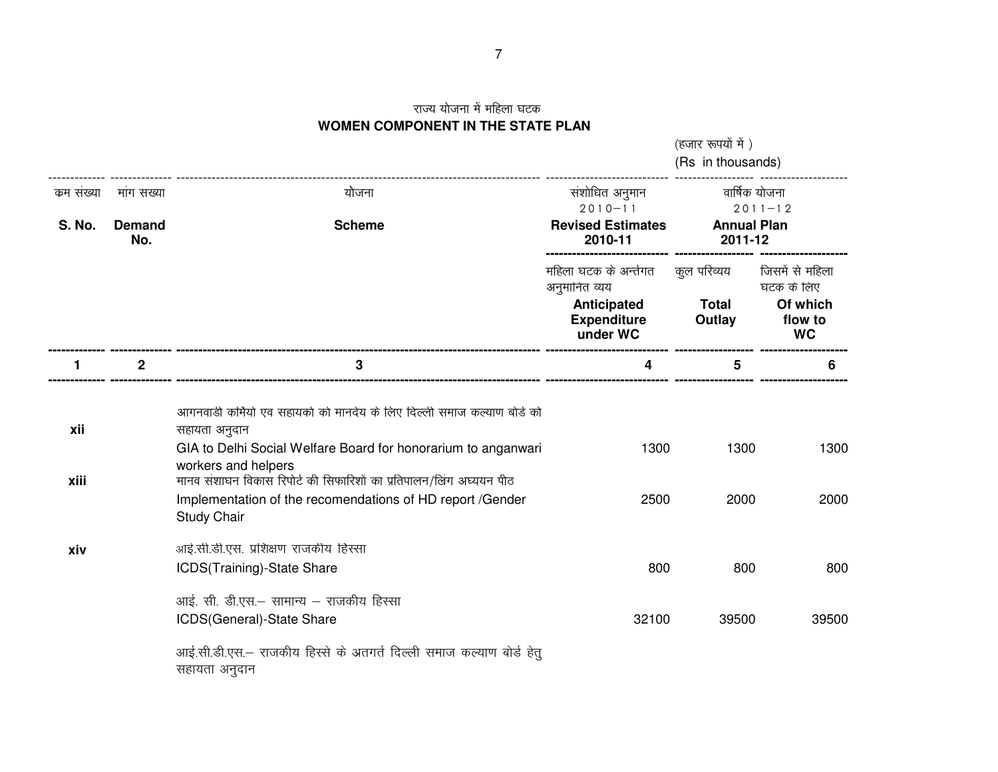*(हजार रूपयों में)* (Rs in thousands)------------- -------------- ----------------------------------------------------------------------------------- ---------------------------- ------------------ ------------------- *dze la[;k ekax l[;k ;kstuk la'kksf/kr vuqeku okf"kZd ;kstuk 2010&11 2011&12***Annual Plan S. No.Demand** Scheme **Revised Estimates Annual Plannual Plannual Plannual Plannual Plannual Plannual Plannual Plannual Plannual Plannual Plannual Plannual Plannual Plannual Plannual Plannual Plannual Plannual Plannual Plannual Plannual Plannua No. 2010-11 2011-12---------------------------- ------------------ --------------------** महिला घटक के अर्न्तगत *कुल परि*व्यय जिसमें से महिला अनुमानित व्यय *घटक के लिए*<br>Of whic **AnticipatedOf which**<br>flow to **ExpenditureOutlay WC under WCC** WC **------------- -------------- ----------------------------------------------------------------------------------- ---------------------------- ------------------ -------------------- 1 <sup>2</sup> 3 4 5 6 ------------- -------------- ----------------------------------------------------------------------------------- ---------------------------- ------------------ -------------------** *vkaxuokMh dfeZ;ksa ,oa lgk;dksa dks ekuns; ds fy, fnYyh lekt dY;k.k cksMZ dks* **xii***<i>x***igma** *argare* GIA to Delhi Social Welfare Board for honorarium to anganwari 1300 1300 1300 1300 workers and helpers**i** and the ready five found friends in the mode is a set of the final field in the independent in the intermine<br>In Bazza de in the set of the set of the set of the set of the set of the set of the set of the set of the s **xiii**Implementation of the recomendations of HD report /Gender 2500 2000 2000 2000 Study Chair**xiv**आई.सी.डी.एस. प्रशिक्षण राजकीय हिस्सा ICDS(Training)-State Share <sup>800</sup> <sup>800</sup> <sup>800</sup> आई. सी. डी.एस.– सामान्य – राजकीय हिस्सा ICDS(General)-State Sharee 39500 39500 39500 39500 39500 39500 39500 39500 39500 39500 39500 39500 39500 39500 39500 39500 39500 39500 आई.सी.डी.एस.– राजकीय हिस्से के अतगर्त दिल्ली समाज कल्याण बोर्ड हेतु सहायता अनुदान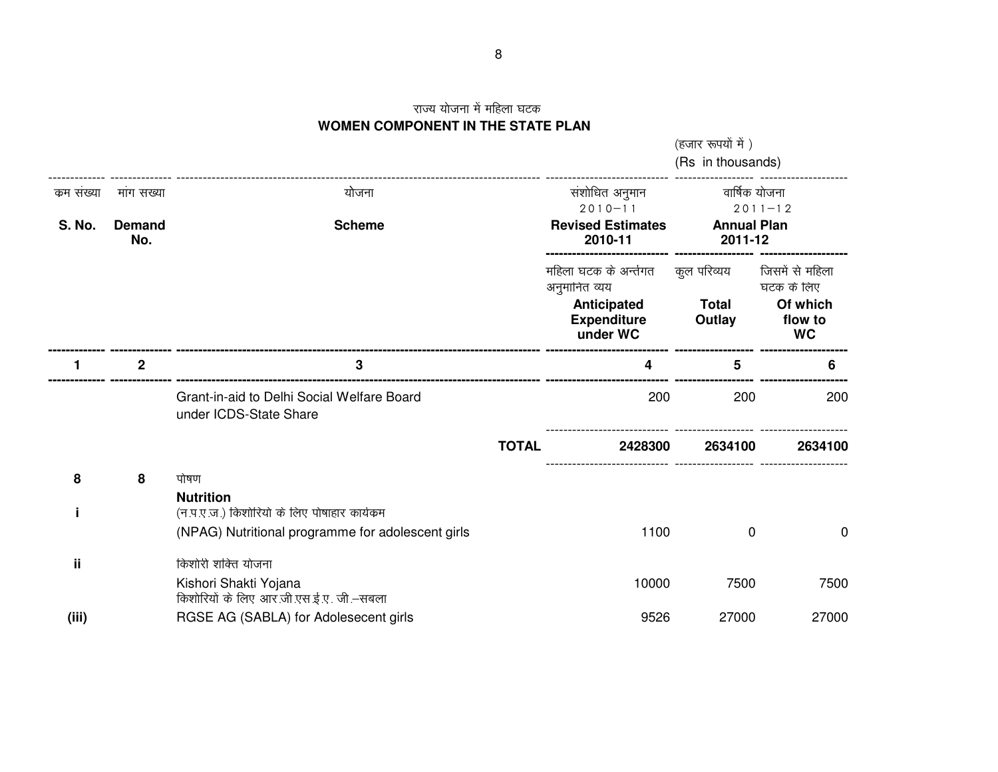*(हजार रूपयों में)* (Rs in thousands)-------------------------------- -------------- ----------------------------------------------------------------------------------- ---------------------------- ------------------ ------------------- *dze la[;k ekax l[;k ;kstuk la'kksf/kr vuqeku okf"kZd ;kstuk 2010&11 2011&12***Annual Plan S. No.Demand** Scheme **Revised Estimates Annual Plannual Plannual Plannual Plannual Plannual Plannual Plannual Plannual Plannual Plannual Plannual Plannual Plannual Plannual Plannual Plannual Plannual Plannual Plannual Plannual Plannual Plannua No. 2010-11 2011-12---------------------------- ------------------ --------------------** महिला घटक के अर्न्तगत *कुल परिव्यय* जिसमें से महिला अनुमानित व्यय *घटक के लिए*<br>Of whic **AnticipatedOf which**<br>flow to **ExpenditureOutlay WC under WCC** WC **------------- -------------- ----------------------------------------------------------------------------------- ---------------------------- ------------------ -------------------- 1 <sup>2</sup> 3 4 5 6 ------------- -------------- ----------------------------------------------------------------------------------- ---------------------------- ------------------ --------------------** Grant-in-aid to Delhi Social Welfare Boardd 200 200 200 200 under ICDS-State Share *'tksM+* ---------------------------- ------------------ -------------------- **TOTAL <sup>2428300</sup> <sup>2634100</sup> <sup>2634100</sup>** ---------------------------- ------------------ --------------------**8**8 *पोषण* **Nutritioni** (न.प.ए.ज.) किशोरियो के लिए पोषाहार कार्यक्रम **i**(NPAG) Nutritional programme for adolescent girls 1100 companies to the control of the control of the control o **ii***कि*शोरी शक्ति योजना Kishori Shakti Yojana 10000 7500 7500 *f* केशोरियों के लिए आर जी एस इं.ए. जी –सबला **(iii)** RGSE AG (SABLA) for Adolesecent girls<sup>9526</sup> <sup>27000</sup> <sup>27000</sup>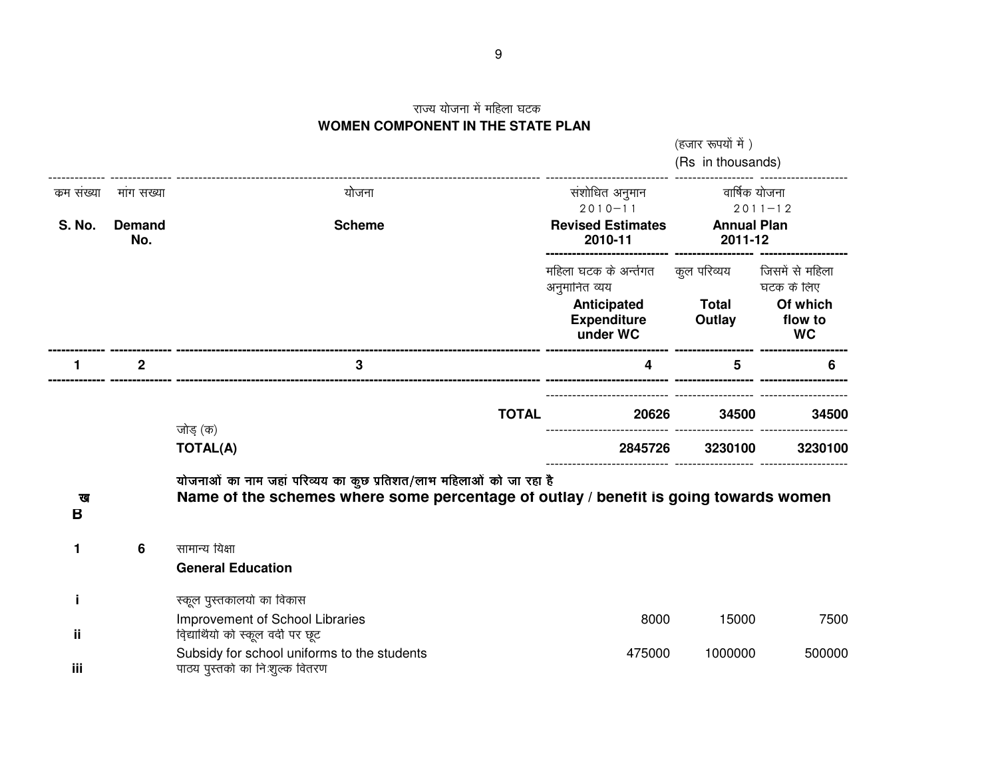**WOMEN COMPONENT IN THE STATE PLAN** *(हजार रूपयों में)* (Rs in thousands)------------- -------------- ----------------------------------------------------------------------------------- ---------------------------- ------------------ ------------------- *dze la[;k ekax l[;k ;kstuk la'kksf/kr vuqeku okf"kZd ;kstuk 2010&11 2011&12***Annual Plan S. No.Demand** Scheme **Revised Estimates Annual Plannual Plannual Plannual Plannual Plannual Plannual Plannual Plannual Plannual Plannual Plannual Plannual Plannual Plannual Plannual Plannual Plannual Plannual Plannual Plannual Plannual Plannua No. 2010-11 2011-12---------------------------- ------------------ --------------------** महिला घटक के अर्न्तगत *कुल परिव्यय* जिसमें से महिला अनुमानित व्यय *घटक के लिए*<br>Of whic **AnticipatedOf which**<br>flow to **ExpenditureOutlay WC under WCC** WC **------------- -------------- ----------------------------------------------------------------------------------- ---------------------------- ------------------ -------------------- 1 <sup>2</sup> 3 4 5 6 ------------- -------------- ----------------------------------------------------------------------------------- ---------------------------- ------------------ --------------------** ------------------------- ------------------ -------------------- **TOTAL <sup>20626</sup> <sup>34500</sup> <sup>34500</sup>** *जोड़ (क)*  ---------------------------- ------------------ -------------------- **TOTAL(A) 2845726 <sup>3230100</sup> <sup>3230100</sup>** ---------------------------- ------------------ -------------------- *;kstukvksa dk uke tgka ifjO;; dk dqN izfr'kr@ykHk efgykvksa dks tk jgk gS*  **Name of the schemes where some percentage of outlay / benefit is going towards women**<u>रव</u> **B1** $6$  सामान्य यिक्षा **General EducationiLi** *Lower in the form in the reger* years of the four in the four in the four in the four in the four in the fo Improvement of School Libraries <sup>8000</sup> <sup>15000</sup> <sup>7500</sup>**ii***fa़ेद्यार्थियों को स्कूल वर्दी पर छूट* Subsidy for school uniforms to the students and the students and the 475000 1000000 500000 **iiiपाठय पुस्तको का नि:शुल्क वितरण** 

**राज्य योजना में महिला घटक**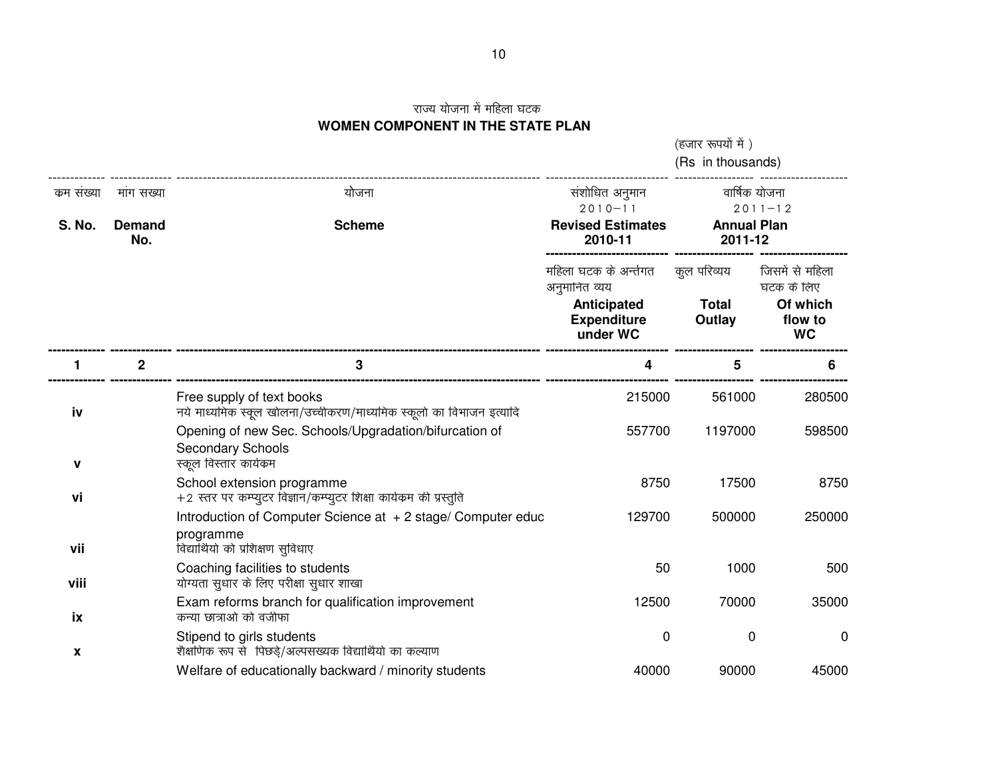*(हजार रूपयों में)* (Rs in thousands)\_\_\_\_\_\_\_\_\_\_\_\_\_\_\_\_\_\_\_\_\_ ------------- -------------- ----------------------------------------------------------------------------------- ---------------------------- ------------------ ------------------- *dze la[;k ekax l[;k ;kstuk la'kksf/kr vuqeku okf"kZd ;kstuk 2010&11 2011&12***Annual Plan S. No.Demand** Scheme **Revised Estimates** Annual Pl<br>2010-11 2011-12 **No. 2010-11 2011-12---------------------------- ------------------ --------------------** महिला घटक के अर्न्तगत *कुल परिव्यय* जिसमें से महिला अनुमानित व्यय *घटक के लिए*<br>Of whic **AnticipatedOf which**<br>flow to **ExpenditureOutlay WC under WCC** WC **------------- -------------- ----------------------------------------------------------------------------------- ---------------------------- ------------------ -------------------- 1 <sup>2</sup> 3 4 5 6 ------------- -------------- ----------------------------------------------------------------------------------- ---------------------------- ------------------ --------------------** Free supply of text bookss 215000 561000 280500 **ivv**;s ek/; ek/; ek/ikbitum-phalitical distance the respective to the fouries that the fouries  $\mathbf{r}$  and  $\mathbf{r}$ Opening of new Sec. Schools/Upgradation/bifurcation of 557700 1197000 598500 Secondary Schools**v***स्कूल विस्तार कार्यकम* School extension programmee 8750 8750 8750 8750 **vi**+2 स्तर पर कम्प्यूटर विज्ञान/कम्प्यूटर शिक्षा कार्यकम की प्रस्तुति Introduction of Computer Science at +2 stage/ Computer educ <sup>129700</sup> <sup>500000</sup> <sup>250000</sup> programme**i** विद्यार्थियों को प्रशिक्षण सुविधाए **vii**Coaching facilities to studentss 50 500 500 **viii** *;ksX;rk lq/kkj ds fy, ijh{kk lq/kkj 'kk[kk* Exam reforms branch for qualification improvement 12500 70000 35000**ix***क*न्या छात्राओं को वजीफा Stipend to girls students <sup>0</sup> <sup>0</sup> <sup>0</sup>**x** *'kS{kf.kd :i ls fiNMs+@vYila[;d fo|kfFkZ;ksa dk dY;k.k* Welfare of educationally backward / minority students 40000 40000 90000 45000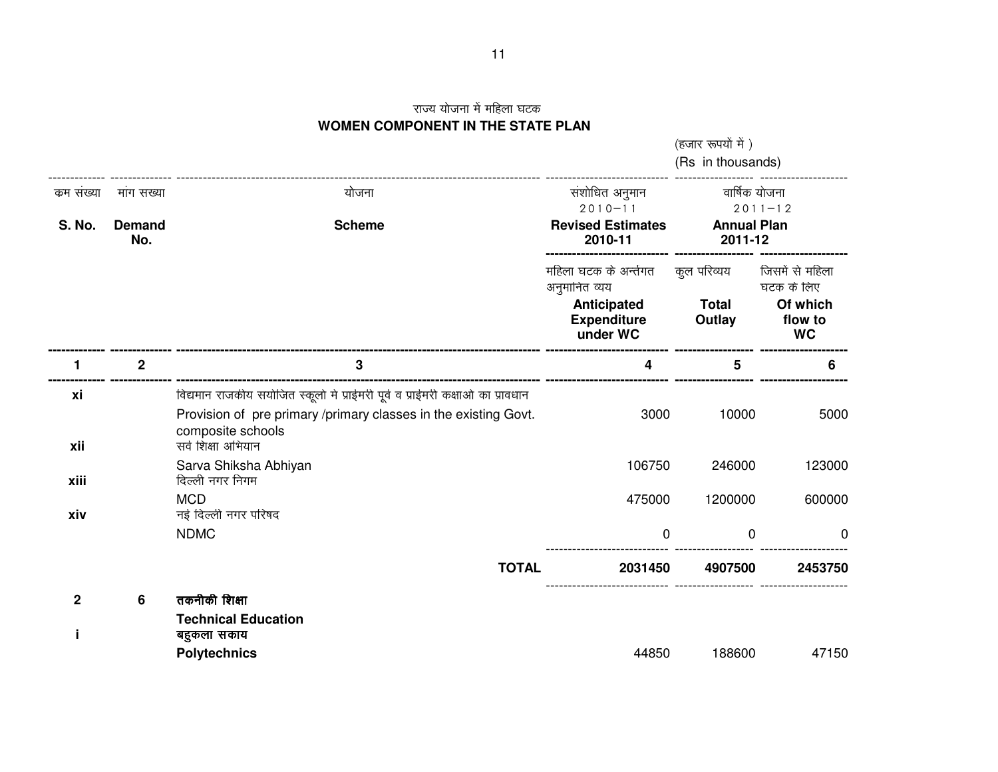*(हजार रूपयों में)* (Rs in thousands)--------------------------------- -------------- ----------------------------------------------------------------------------------- ---------------------------- ------------------ ------------------- *dze la[;k ekax l[;k ;kstuk la'kksf/kr vuqeku okf"kZd ;kstuk 2010&11 2011&12***Annual Plan S. No.Demand** Scheme **Revised Estimates Annual Plannual Plannual Plannual Plannual Plannual Plannual Plannual Plannual Plannual Plannual Plannual Plannual Plannual Plannual Plannual Plannual Plannual Plannual Plannual Plannual Plannual Plannua No. 2010-11 2011-12---------------------------- ------------------ --------------------** महिला घटक के अर्न्तगत *कुल परिव्यय* जिसमें से महिला अनुमानित व्यय *घटक के लिए*<br>Of whic **AnticipatedOf which**<br>flow to **ExpenditureOutlay WC under WCC** WC **------------- -------------- ----------------------------------------------------------------------------------- ---------------------------- ------------------ -------------------- 1 <sup>2</sup> 3 4 5 6 ------------- -------------- ----------------------------------------------------------------------------------- ---------------------------- ------------------ --------------------** *fo|eku jktdh; la;ksftr Ldwyksa esa izkbZejh iwoZ o izkbZejh d{kkvksa dk izko/kku***xi**Provision of pre primary /primary classes in the existing Govt. 3000 10000 10000 5000 composite schools**xii***<i>x***id शिक्षा अभियान**  Sarva Shiksha Abhiyann 106750 246000 123000 123000 123000 123000 123000 123000 123000 123000 123000 123000 123000 123000 123000 123 **xiii***दिल्ली नगर निगम* MCD <sup>475000</sup> <sup>1200000</sup> <sup>600000</sup> **xivनई दिल्ली नगर परिषद** NDMC $\begin{array}{ccccccc}\n\text{C} & & & & & & & 0 & & & 0 \\
\text{C} & & & & & & & & 0 & & & 0\n\end{array}$  *tksM+* ---------------------------- ------------------ -------------------- **TOTAL <sup>2031450</sup> <sup>4907500</sup> <sup>2453750</sup>** ---------------------------- ------------------ --------------------**26** तकनीकी शिक्षा **Technical Educationii** agकला सकाय **Polytechnicss** and the contract of the contract of the contract of the 44850 and 188600 and 47150  $\sim$  47150 and 47150 and 47150 and 47150 and 47150 and 47150 and 47150 and 47150 and 47150 and 47150 and 47150 and 47150 and 47150 and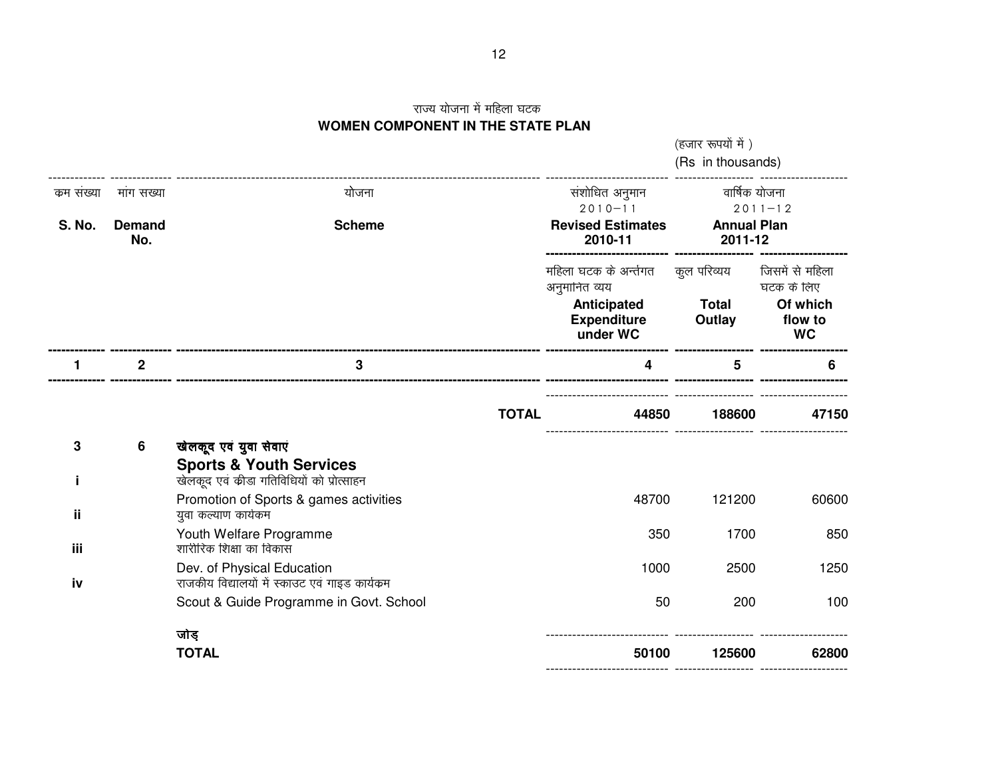*(हजार रूपयों में)* (Rs in thousands)--------------------------------- -------------- ----------------------------------------------------------------------------------- ---------------------------- ------------------ ------------------- *dze la[;k ekax l[;k ;kstuk la'kksf/kr vuqeku okf"kZd ;kstuk 2010&11 2011&12***Annual Plan S. No.Demand** Scheme **Revised Estimates Annual Plannual Plannual Plannual Plannual Plannual Plannual Plannual Plannual Plannual Plannual Plannual Plannual Plannual Plannual Plannual Plannual Plannual Plannual Plannual Plannual Plannual Plannua No. 2010-11 2011-12---------------------------- ------------------ --------------------** महिला घटक के अर्न्तगत *कुल परिव्यय* जिसमें से महिला अनुमानित व्यय *घटक के लिए*<br>Of whic **AnticipatedOf which**<br>flow to **ExpenditureOutlay WC under WCC** WC **------------- -------------- ----------------------------------------------------------------------------------- ---------------------------- ------------------ -------------------- 1 <sup>2</sup> 3 4 5 6 ------------- -------------- ----------------------------------------------------------------------------------- ---------------------------- ------------------ -------------------**  *tksM+* ---------------------------- ------------------ -------------------- **TOTAL <sup>44850</sup> <sup>188600</sup> <sup>47150</sup>** ---------------------------- ------------------ --------------------**3**6 *ded & 1964* **component** *ded values* **Sports & Youth Services** *[ksydwn ,oa dzhMk xfrfof/k;ksa dks izksRlkgu***i** Promotion of Sports & games activities <sup>48700</sup> <sup>121200</sup> <sup>60600</sup>**iiयुवा कल्याण कार्यकम**  Youth Welfare Programmee 350 and 350 and 350 and 350 and 350 and 350 and 350 and 350 and 350 and 350 and 350 and 350 and 350 and 350 **iii** *'kkjhfjd f'k{kk dk fodkl* Dev. of Physical Educationn 1000 2500 1250 **iv** *jktdh; fo|ky;ksa esa LdkmV ,oa xkbM dk;Zdze* Scout & Guide Programme in Govt. School 50 200 100.<br>कोड् ------------------ -------------------- **TOTAL <sup>50100</sup> <sup>125600</sup> <sup>62800</sup>** ---------------------------- ------------------ --------------------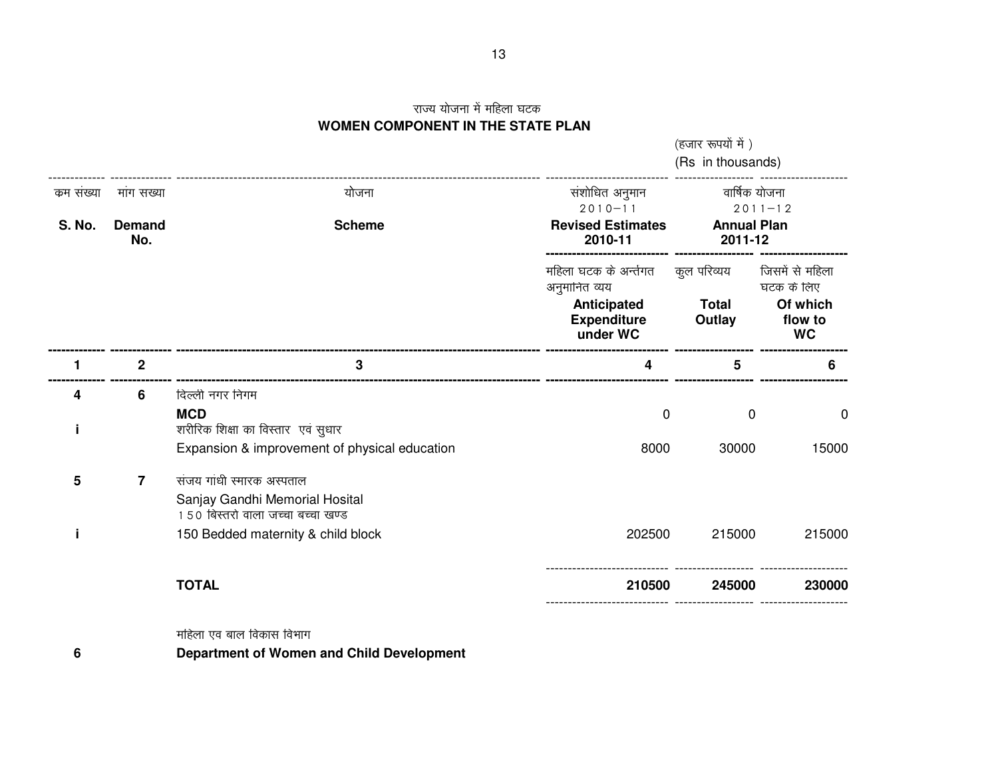**WOMEN COMPONENT IN THE STATE PLAN** *(हजार रूपयों में)* (Rs in thousands)------------------------------- -------------- ----------------------------------------------------------------------------------- ---------------------------- ------------------ ------------------- *dze la[;k ekax l[;k ;kstuk la'kksf/kr vuqeku okf"kZd ;kstuk 2010&11 2011&12***Annual Plan S. No.Demand** Scheme **Revised Estimates Annual Plannual Plannual Plannual Plannual Plannual Plannual Plannual Plannual Plannual Plannual Plannual Plannual Plannual Plannual Plannual Plannual Plannual Plannual Plannual Plannual Plannual Plannua No. 2010-11 2011-12---------------------------- ------------------ --------------------** *महिला घटक के अ*र्न्तगत *कुल परि*व्यय जिसमें से महिला अनुमानित व्यय *घटक के लिए*<br>Of whic **AnticipatedOf which**<br>flow to **ExpenditureOutlay WC under WCC** WC **------------- -------------- ----------------------------------------------------------------------------------- ---------------------------- ------------------ -------------------- 1 <sup>2</sup> 3 4 5 6 ------------- -------------- ----------------------------------------------------------------------------------- ---------------------------- ------------------ -------------------- 46** दिल्ली नगर निगम **MCD** <sup>0</sup> <sup>0</sup> <sup>0</sup> **i** *'kjhfjd f'k{kk dk foLrkj ,oa lq/kkj* Expansion & improvement of physical education 8000 8000 30000 15000 **57** संजय गांधी स्मारक अस्पताल Sanjay Gandhi Memorial Hosital150 बिस्तरों वाला जच्चा बच्चा खण्ड 150 Bedded maternity & child block**i**k 202500 215000 215000 ---------------------------- ------------------ --------------------**TOTAL <sup>210500</sup> <sup>245000</sup> <sup>230000</sup>** ---------------------------- ------------------ --------------------

*efgyk ,oa cky fodkl foHkkx*

**6**

**Department of Women and Child Development**

*राज्य योजना में महिला घटक*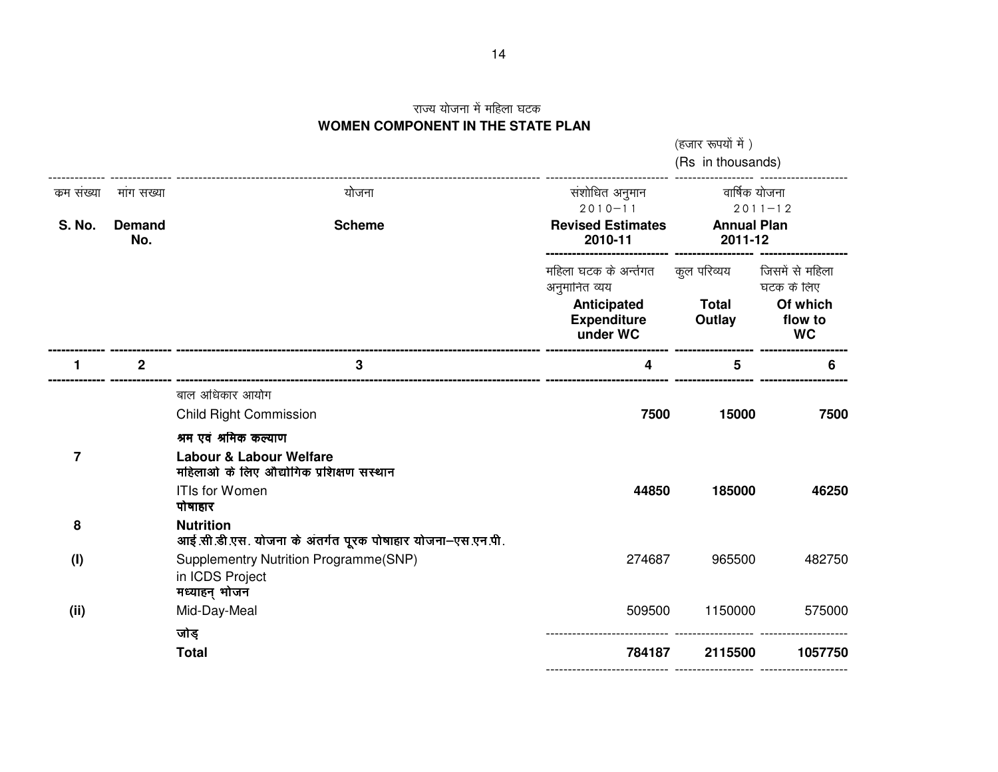*(हजार रूपयों में)* (Rs in thousands)--------------------------------- -------------- ----------------------------------------------------------------------------------- ---------------------------- ------------------ ------------------- *dze la[;k ekax l[;k ;kstuk la'kksf/kr vuqeku okf"kZd ;kstuk 2010&11 2011&12***Annual Plan S. No.Demand** Scheme **Revised Estimates Annual Plannual Plannual Plannual Plannual Plannual Plannual Plannual Plannual Plannual Plannual Plannual Plannual Plannual Plannual Plannual Plannual Plannual Plannual Plannual Plannual Plannual Plannua No. 2010-11 2011-12---------------------------- ------------------ --------------------** महिला घटक के अर्न्तगत *कुल परिव्यय* जिसमें से महिला अनुमानित व्यय *घटक के लिए*<br>Of whic **AnticipatedOf which**<br>flow to **ExpenditureOutlay WC under WCC** WC **------------- -------------- ----------------------------------------------------------------------------------- ---------------------------- ------------------ -------------------- 1 <sup>2</sup> 3 4 5 6 ------------- -------------- ----------------------------------------------------------------------------------- ---------------------------- ------------------ --------------------** *बाल अधिकार आयोग*  Child Right Commission **7500 <sup>15000</sup> <sup>7500</sup>** *श्र*म एवं श्रमिक कल्याण **7 Labour & Labour Welfare** *efgykvksa ds fy, vkS|ksfxd izf'k{k.k laLFkku* ITIs for Women **<sup>44850</sup> <sup>185000</sup> <sup>46250</sup>** <u>पोषाहार</u> **8 Nutrition**  *vkbZ-lh-Mh-,l- ;kstuk ds varxZr iwjd iks"kkgkj ;kstuk&,l-,u-ih-* **(I)**Supplementry Nutrition Programme(SNP) 274687 965500 482750 in ICDS Projectमध्याहन् **भोजन** Mid-Day-Meal **(ii)**) Mid-Day-Meal 509500 1150000 575000 <u>पोड़</u> सांसदा पार्टी के सांसदा पर्वति का सांसदा पर्वति का सांसदा पर्वति का सांसदा पर्वति का सांसदा पर्वति का सां **Total 784187 <sup>2115500</sup> <sup>1057750</sup>** ---------------------------- ------------------ --------------------